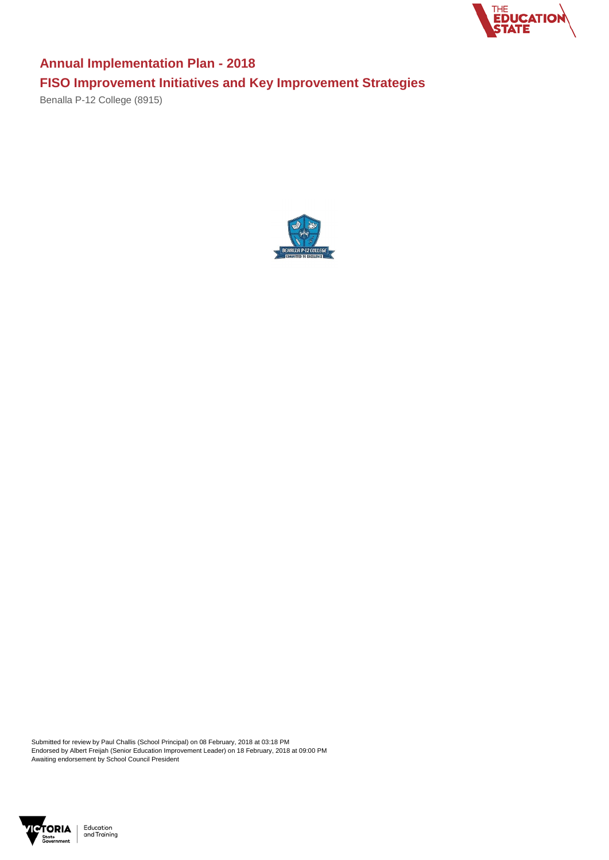Submitted for review by Paul Challis (School Principal) on 08 February, 2018 at 03:18 PM Endorsed by Albert Freijah (Senior Education Improvement Leader) on 18 February, 2018 at 09:00 PM Awaiting endorsement by School Council President





## **Annual Implementation Plan - 2018 FISO Improvement Initiatives and Key Improvement Strategies**

Benalla P-12 College (8915)

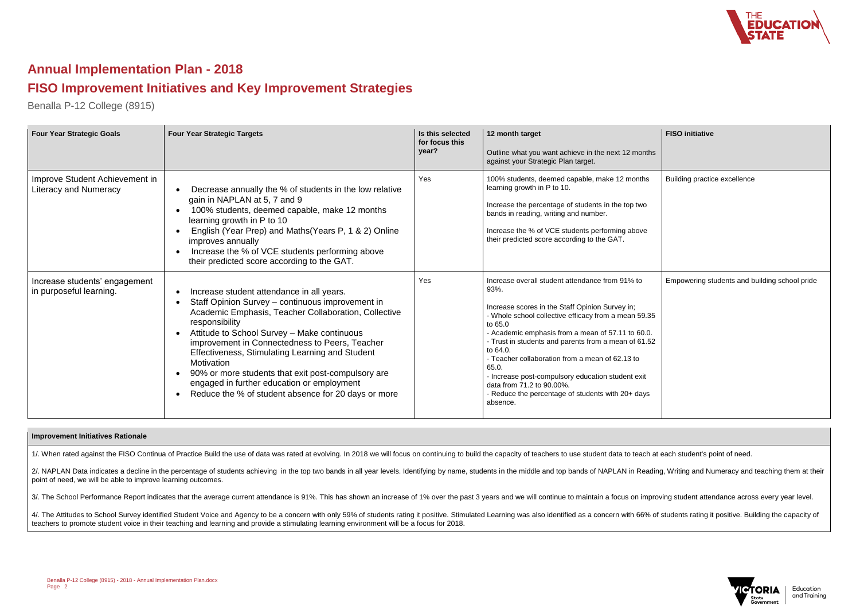



Education and Training

## **Annual Implementation Plan - 2018**

## **FISO Improvement Initiatives and Key Improvement Strategies**

Benalla P-12 College (8915)

| <b>Four Year Strategic Goals</b>                               | <b>Four Year Strategic Targets</b>                                                                                                                                                                                                                                                                                                                                                                                                                                                                   | Is this selected<br>for focus this<br>year? | 12 month target<br>Outline what you want achieve in the next 12 months<br>against your Strategic Plan target.                                                                                                                                                                                                                                                                                                                                                                                                         | <b>FISO</b> initiative                        |
|----------------------------------------------------------------|------------------------------------------------------------------------------------------------------------------------------------------------------------------------------------------------------------------------------------------------------------------------------------------------------------------------------------------------------------------------------------------------------------------------------------------------------------------------------------------------------|---------------------------------------------|-----------------------------------------------------------------------------------------------------------------------------------------------------------------------------------------------------------------------------------------------------------------------------------------------------------------------------------------------------------------------------------------------------------------------------------------------------------------------------------------------------------------------|-----------------------------------------------|
| Improve Student Achievement in<br><b>Literacy and Numeracy</b> | Decrease annually the % of students in the low relative<br>gain in NAPLAN at 5, 7 and 9<br>100% students, deemed capable, make 12 months<br>learning growth in P to 10<br>English (Year Prep) and Maths (Years P, 1 & 2) Online<br>improves annually<br>Increase the % of VCE students performing above<br>their predicted score according to the GAT.                                                                                                                                               | Yes                                         | 100% students, deemed capable, make 12 months<br>learning growth in P to 10.<br>Increase the percentage of students in the top two<br>bands in reading, writing and number.<br>Increase the % of VCE students performing above<br>their predicted score according to the GAT.                                                                                                                                                                                                                                         | Building practice excellence                  |
| Increase students' engagement<br>in purposeful learning.       | Increase student attendance in all years.<br>Staff Opinion Survey - continuous improvement in<br>Academic Emphasis, Teacher Collaboration, Collective<br>responsibility<br>Attitude to School Survey - Make continuous<br>improvement in Connectedness to Peers, Teacher<br>Effectiveness, Stimulating Learning and Student<br>Motivation<br>90% or more students that exit post-compulsory are<br>engaged in further education or employment<br>Reduce the % of student absence for 20 days or more | Yes                                         | Increase overall student attendance from 91% to<br>93%.<br>Increase scores in the Staff Opinion Survey in;<br>- Whole school collective efficacy from a mean 59.35<br>to 65.0<br>- Academic emphasis from a mean of 57.11 to 60.0.<br>- Trust in students and parents from a mean of 61.52<br>to 64.0.<br>- Teacher collaboration from a mean of 62.13 to<br>65.0.<br>- Increase post-compulsory education student exit<br>data from 71.2 to 90.00%.<br>- Reduce the percentage of students with 20+ days<br>absence. | Empowering students and building school pride |

2/. NAPLAN Data indicates a decline in the percentage of students achieving in the top two bands in all year levels. Identifying by name, students in the middle and top bands of NAPLAN in Reading, Writing and Numeracy and point of need, we will be able to improve learning outcomes.

3/. The School Performance Report indicates that the average current attendance is 91%. This has shown an increase of 1% over the past 3 years and we will continue to maintain a focus on improving student attendance across

4/. The Attitudes to School Survey identified Student Voice and Agency to be a concern with only 59% of students rating it positive. Stimulated Learning was also identified as a concern with 66% of students rating it posit teachers to promote student voice in their teaching and learning and provide a stimulating learning environment will be a focus for 2018.

## **Improvement Initiatives Rationale**

1/. When rated against the FISO Continua of Practice Build the use of data was rated at evolving. In 2018 we will focus on continuing to build the capacity of teachers to use student data to teach at each student's point o